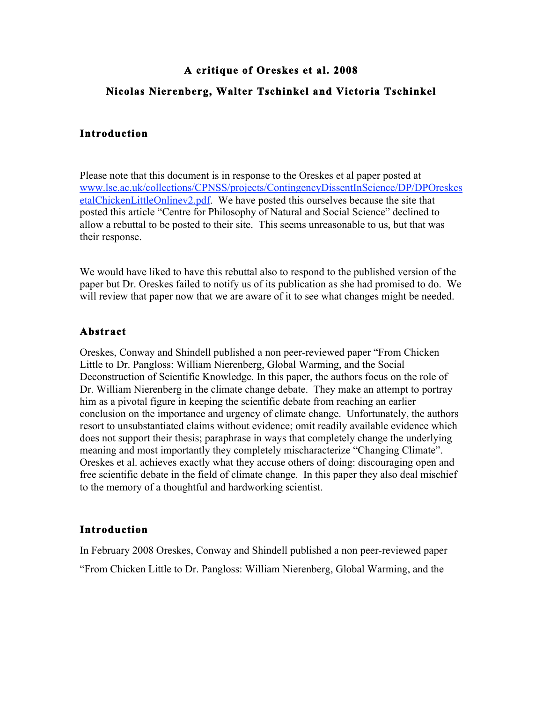# **A critique of Oreskes et al. 2008 Nicolas Nierenberg, Walter Tschinkel and Victoria Tschinkel**

## **Introduction**

Please note that this document is in response to the Oreskes et al paper posted at www.lse.ac.uk/collections/CPNSS/projects/ContingencyDissentInScience/DP/DPOreskes etalChickenLittleOnlinev2.pdf. We have posted this ourselves because the site that posted this article "Centre for Philosophy of Natural and Social Science" declined to allow a rebuttal to be posted to their site. This seems unreasonable to us, but that was their response.

We would have liked to have this rebuttal also to respond to the published version of the paper but Dr. Oreskes failed to notify us of its publication as she had promised to do. We will review that paper now that we are aware of it to see what changes might be needed.

## **Abstract**

Oreskes, Conway and Shindell published a non peer-reviewed paper "From Chicken Little to Dr. Pangloss: William Nierenberg, Global Warming, and the Social Deconstruction of Scientific Knowledge. In this paper, the authors focus on the role of Dr. William Nierenberg in the climate change debate. They make an attempt to portray him as a pivotal figure in keeping the scientific debate from reaching an earlier conclusion on the importance and urgency of climate change. Unfortunately, the authors resort to unsubstantiated claims without evidence; omit readily available evidence which does not support their thesis; paraphrase in ways that completely change the underlying meaning and most importantly they completely mischaracterize "Changing Climate". Oreskes et al. achieves exactly what they accuse others of doing: discouraging open and free scientific debate in the field of climate change. In this paper they also deal mischief to the memory of a thoughtful and hardworking scientist.

## **Introduction**

In February 2008 Oreskes, Conway and Shindell published a non peer-reviewed paper "From Chicken Little to Dr. Pangloss: William Nierenberg, Global Warming, and the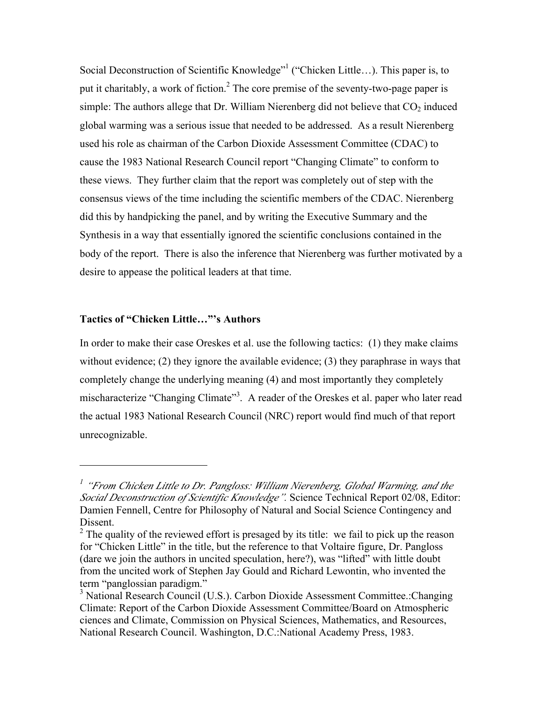Social Deconstruction of Scientific Knowledge"<sup>1</sup> ("Chicken Little...). This paper is, to put it charitably, a work of fiction.<sup>2</sup> The core premise of the seventy-two-page paper is simple: The authors allege that Dr. William Nierenberg did not believe that  $CO<sub>2</sub>$  induced global warming was a serious issue that needed to be addressed. As a result Nierenberg used his role as chairman of the Carbon Dioxide Assessment Committee (CDAC) to cause the 1983 National Research Council report "Changing Climate" to conform to these views. They further claim that the report was completely out of step with the consensus views of the time including the scientific members of the CDAC. Nierenberg did this by handpicking the panel, and by writing the Executive Summary and the Synthesis in a way that essentially ignored the scientific conclusions contained in the body of the report. There is also the inference that Nierenberg was further motivated by a desire to appease the political leaders at that time.

#### **Tactics of "Chicken Little…"'s Authors**

In order to make their case Oreskes et al. use the following tactics: (1) they make claims without evidence; (2) they ignore the available evidence; (3) they paraphrase in ways that completely change the underlying meaning (4) and most importantly they completely mischaracterize "Changing Climate"<sup>3</sup>. A reader of the Oreskes et al. paper who later read the actual 1983 National Research Council (NRC) report would find much of that report unrecognizable.

<sup>&</sup>lt;sup>1</sup> "From Chicken Little to Dr. Pangloss: William Nierenberg, Global Warming, and the *Social Deconstruction of Scientific Knowledge".* Science Technical Report 02/08, Editor: Damien Fennell, Centre for Philosophy of Natural and Social Science Contingency and Dissent.

<sup>&</sup>lt;sup>2</sup> The quality of the reviewed effort is presaged by its title: we fail to pick up the reason for "Chicken Little" in the title, but the reference to that Voltaire figure, Dr. Pangloss (dare we join the authors in uncited speculation, here?), was "lifted" with little doubt from the uncited work of Stephen Jay Gould and Richard Lewontin, who invented the term "panglossian paradigm."

<sup>&</sup>lt;sup>3</sup> National Research Council (U.S.). Carbon Dioxide Assessment Committee.:Changing Climate: Report of the Carbon Dioxide Assessment Committee/Board on Atmospheric ciences and Climate, Commission on Physical Sciences, Mathematics, and Resources, National Research Council. Washington, D.C.:National Academy Press, 1983.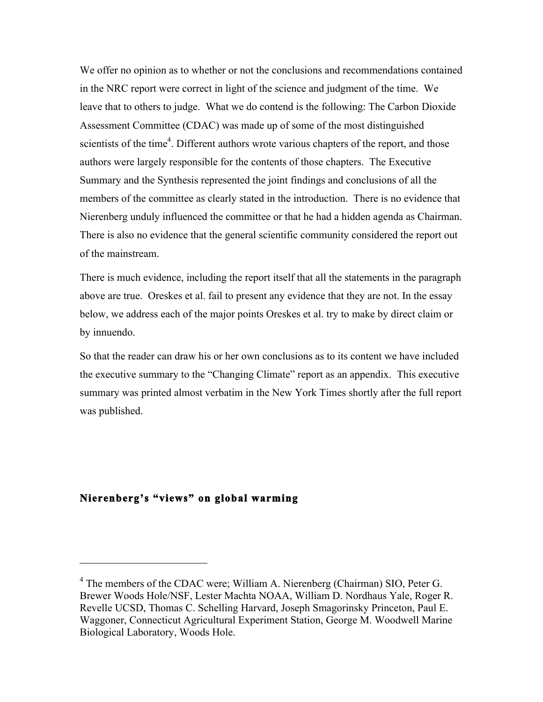We offer no opinion as to whether or not the conclusions and recommendations contained in the NRC report were correct in light of the science and judgment of the time. We leave that to others to judge. What we do contend is the following: The Carbon Dioxide Assessment Committee (CDAC) was made up of some of the most distinguished scientists of the time<sup>4</sup>. Different authors wrote various chapters of the report, and those authors were largely responsible for the contents of those chapters. The Executive Summary and the Synthesis represented the joint findings and conclusions of all the members of the committee as clearly stated in the introduction. There is no evidence that Nierenberg unduly influenced the committee or that he had a hidden agenda as Chairman. There is also no evidence that the general scientific community considered the report out of the mainstream.

There is much evidence, including the report itself that all the statements in the paragraph above are true. Oreskes et al. fail to present any evidence that they are not. In the essay below, we address each of the major points Oreskes et al. try to make by direct claim or by innuendo.

So that the reader can draw his or her own conclusions as to its content we have included the executive summary to the "Changing Climate" report as an appendix. This executive summary was printed almost verbatim in the New York Times shortly after the full report was published.

## **Nierenberg's "views" on global warming**

<sup>&</sup>lt;sup>4</sup> The members of the CDAC were; William A. Nierenberg (Chairman) SIO, Peter G. Brewer Woods Hole/NSF, Lester Machta NOAA, William D. Nordhaus Yale, Roger R. Revelle UCSD, Thomas C. Schelling Harvard, Joseph Smagorinsky Princeton, Paul E. Waggoner, Connecticut Agricultural Experiment Station, George M. Woodwell Marine Biological Laboratory, Woods Hole.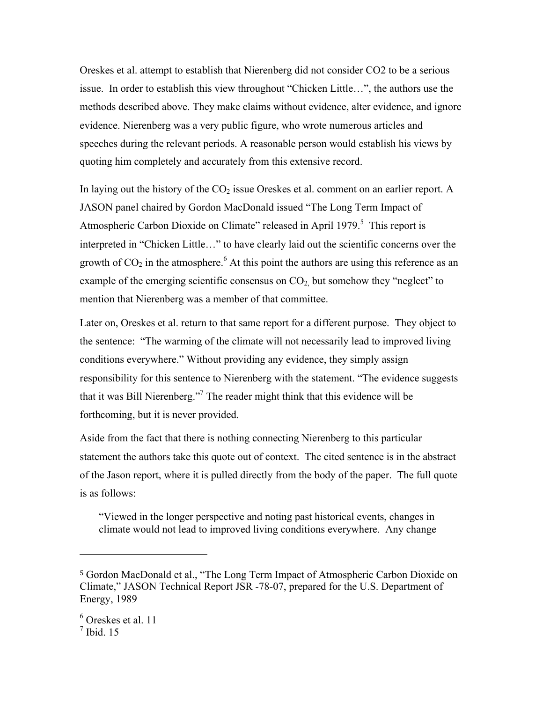Oreskes et al. attempt to establish that Nierenberg did not consider CO2 to be a serious issue. In order to establish this view throughout "Chicken Little…", the authors use the methods described above. They make claims without evidence, alter evidence, and ignore evidence. Nierenberg was a very public figure, who wrote numerous articles and speeches during the relevant periods. A reasonable person would establish his views by quoting him completely and accurately from this extensive record.

In laying out the history of the  $CO<sub>2</sub>$  issue Oreskes et al. comment on an earlier report. A JASON panel chaired by Gordon MacDonald issued "The Long Term Impact of Atmospheric Carbon Dioxide on Climate" released in April 1979.<sup>5</sup> This report is interpreted in "Chicken Little…" to have clearly laid out the scientific concerns over the growth of  $CO<sub>2</sub>$  in the atmosphere.<sup>6</sup> At this point the authors are using this reference as an example of the emerging scientific consensus on  $CO<sub>2</sub>$  but somehow they "neglect" to mention that Nierenberg was a member of that committee.

Later on, Oreskes et al. return to that same report for a different purpose. They object to the sentence: "The warming of the climate will not necessarily lead to improved living conditions everywhere." Without providing any evidence, they simply assign responsibility for this sentence to Nierenberg with the statement. "The evidence suggests that it was Bill Nierenberg."<sup>7</sup> The reader might think that this evidence will be forthcoming, but it is never provided.

Aside from the fact that there is nothing connecting Nierenberg to this particular statement the authors take this quote out of context. The cited sentence is in the abstract of the Jason report, where it is pulled directly from the body of the paper. The full quote is as follows:

"Viewed in the longer perspective and noting past historical events, changes in climate would not lead to improved living conditions everywhere. Any change

<sup>5</sup> Gordon MacDonald et al., "The Long Term Impact of Atmospheric Carbon Dioxide on Climate," JASON Technical Report JSR -78-07, prepared for the U.S. Department of Energy, 1989

<sup>6</sup> Oreskes et al. 11

 $<sup>7</sup>$  Ibid. 15</sup>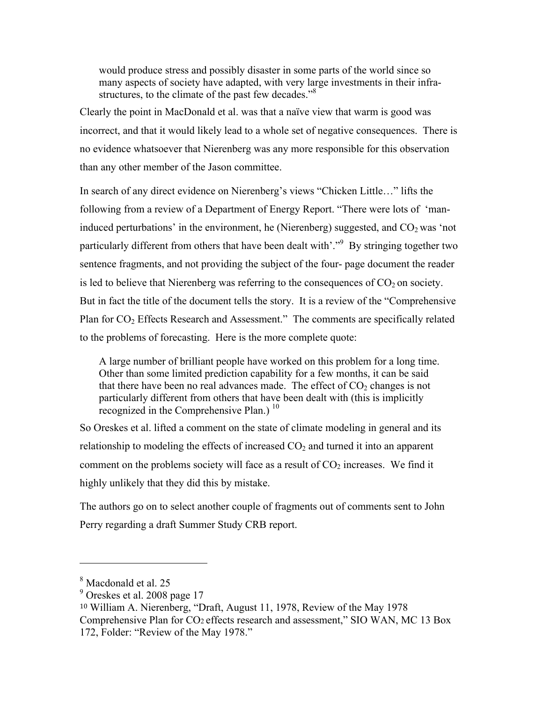would produce stress and possibly disaster in some parts of the world since so many aspects of society have adapted, with very large investments in their infrastructures, to the climate of the past few decades."<sup>8</sup>

Clearly the point in MacDonald et al. was that a naïve view that warm is good was incorrect, and that it would likely lead to a whole set of negative consequences. There is no evidence whatsoever that Nierenberg was any more responsible for this observation than any other member of the Jason committee.

In search of any direct evidence on Nierenberg's views "Chicken Little…" lifts the following from a review of a Department of Energy Report. "There were lots of 'maninduced perturbations' in the environment, he (Nierenberg) suggested, and  $CO<sub>2</sub>$  was 'not particularly different from others that have been dealt with'."<sup>9</sup> By stringing together two sentence fragments, and not providing the subject of the four- page document the reader is led to believe that Nierenberg was referring to the consequences of  $CO<sub>2</sub>$  on society. But in fact the title of the document tells the story. It is a review of the "Comprehensive Plan for  $CO<sub>2</sub>$  Effects Research and Assessment." The comments are specifically related to the problems of forecasting. Here is the more complete quote:

A large number of brilliant people have worked on this problem for a long time. Other than some limited prediction capability for a few months, it can be said that there have been no real advances made. The effect of  $CO<sub>2</sub>$  changes is not particularly different from others that have been dealt with (this is implicitly recognized in the Comprehensive Plan.)<sup>10</sup>

So Oreskes et al. lifted a comment on the state of climate modeling in general and its relationship to modeling the effects of increased  $CO<sub>2</sub>$  and turned it into an apparent comment on the problems society will face as a result of  $CO<sub>2</sub>$  increases. We find it highly unlikely that they did this by mistake.

The authors go on to select another couple of fragments out of comments sent to John Perry regarding a draft Summer Study CRB report.

<sup>8</sup> Macdonald et al. 25

 $9$  Oreskes et al. 2008 page 17

<sup>10</sup> William A. Nierenberg, "Draft, August 11, 1978, Review of the May 1978 Comprehensive Plan for CO2 effects research and assessment," SIO WAN, MC 13 Box 172, Folder: "Review of the May 1978."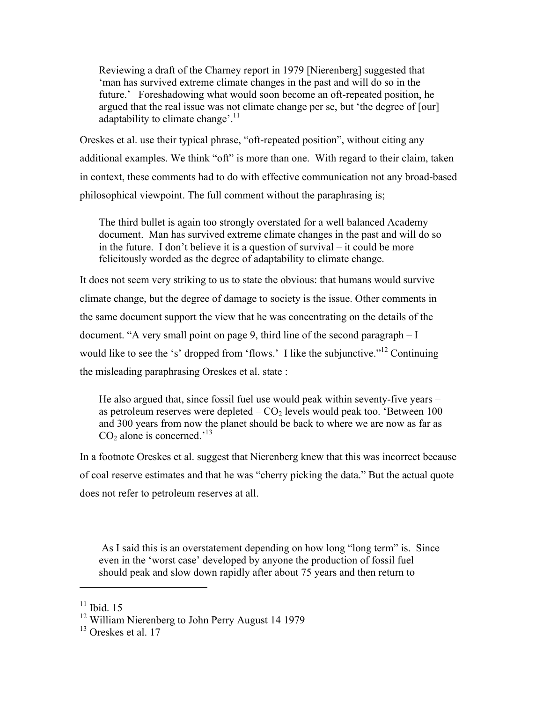Reviewing a draft of the Charney report in 1979 [Nierenberg] suggested that 'man has survived extreme climate changes in the past and will do so in the future.' Foreshadowing what would soon become an oft-repeated position, he argued that the real issue was not climate change per se, but 'the degree of [our] adaptability to climate change'.<sup>11</sup>

Oreskes et al. use their typical phrase, "oft-repeated position", without citing any additional examples. We think "oft" is more than one. With regard to their claim, taken in context, these comments had to do with effective communication not any broad-based philosophical viewpoint. The full comment without the paraphrasing is;

The third bullet is again too strongly overstated for a well balanced Academy document. Man has survived extreme climate changes in the past and will do so in the future. I don't believe it is a question of survival – it could be more felicitously worded as the degree of adaptability to climate change.

It does not seem very striking to us to state the obvious: that humans would survive climate change, but the degree of damage to society is the issue. Other comments in the same document support the view that he was concentrating on the details of the document. "A very small point on page 9, third line of the second paragraph – I would like to see the 's' dropped from 'flows.' I like the subjunctive."<sup>12</sup> Continuing the misleading paraphrasing Oreskes et al. state :

He also argued that, since fossil fuel use would peak within seventy-five years – as petroleum reserves were depleted  $-CO<sub>2</sub>$  levels would peak too. 'Between 100 and 300 years from now the planet should be back to where we are now as far as  $CO<sub>2</sub>$  alone is concerned.<sup>'13</sup>

In a footnote Oreskes et al. suggest that Nierenberg knew that this was incorrect because of coal reserve estimates and that he was "cherry picking the data." But the actual quote does not refer to petroleum reserves at all.

 As I said this is an overstatement depending on how long "long term" is. Since even in the 'worst case' developed by anyone the production of fossil fuel should peak and slow down rapidly after about 75 years and then return to

 $11$  Ibid. 15

 $12$  William Nierenberg to John Perry August 14 1979

 $13$  Oreskes et al. 17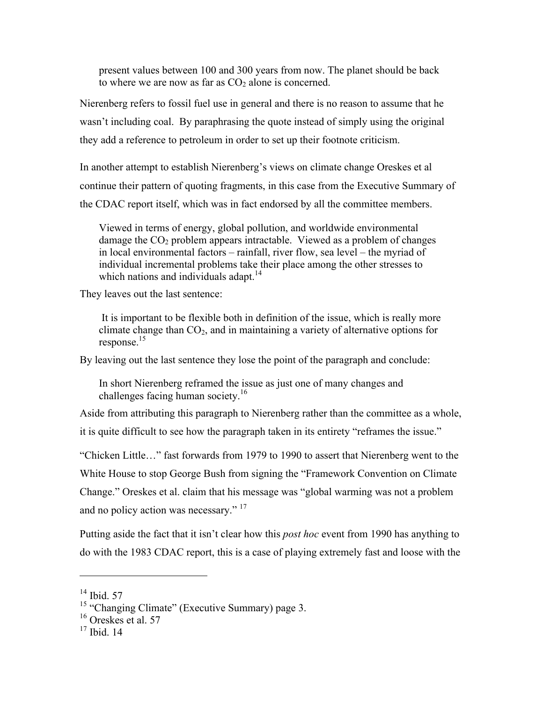present values between 100 and 300 years from now. The planet should be back to where we are now as far as  $CO<sub>2</sub>$  alone is concerned.

Nierenberg refers to fossil fuel use in general and there is no reason to assume that he wasn't including coal. By paraphrasing the quote instead of simply using the original they add a reference to petroleum in order to set up their footnote criticism.

In another attempt to establish Nierenberg's views on climate change Oreskes et al continue their pattern of quoting fragments, in this case from the Executive Summary of the CDAC report itself, which was in fact endorsed by all the committee members.

Viewed in terms of energy, global pollution, and worldwide environmental damage the  $CO<sub>2</sub>$  problem appears intractable. Viewed as a problem of changes in local environmental factors – rainfall, river flow, sea level – the myriad of individual incremental problems take their place among the other stresses to which nations and individuals adapt.<sup>14</sup>

They leaves out the last sentence:

 It is important to be flexible both in definition of the issue, which is really more climate change than  $CO<sub>2</sub>$ , and in maintaining a variety of alternative options for response.15

By leaving out the last sentence they lose the point of the paragraph and conclude:

In short Nierenberg reframed the issue as just one of many changes and challenges facing human society.<sup>16</sup>

Aside from attributing this paragraph to Nierenberg rather than the committee as a whole, it is quite difficult to see how the paragraph taken in its entirety "reframes the issue."

"Chicken Little…" fast forwards from 1979 to 1990 to assert that Nierenberg went to the White House to stop George Bush from signing the "Framework Convention on Climate Change." Oreskes et al. claim that his message was "global warming was not a problem and no policy action was necessary."<sup>17</sup>

Putting aside the fact that it isn't clear how this *post hoc* event from 1990 has anything to do with the 1983 CDAC report, this is a case of playing extremely fast and loose with the

 $14$  Ibid. 57

<sup>&</sup>lt;sup>15</sup> "Changing Climate" (Executive Summary) page 3.

 $16$  Oreskes et al. 57

 $17$  Ibid. 14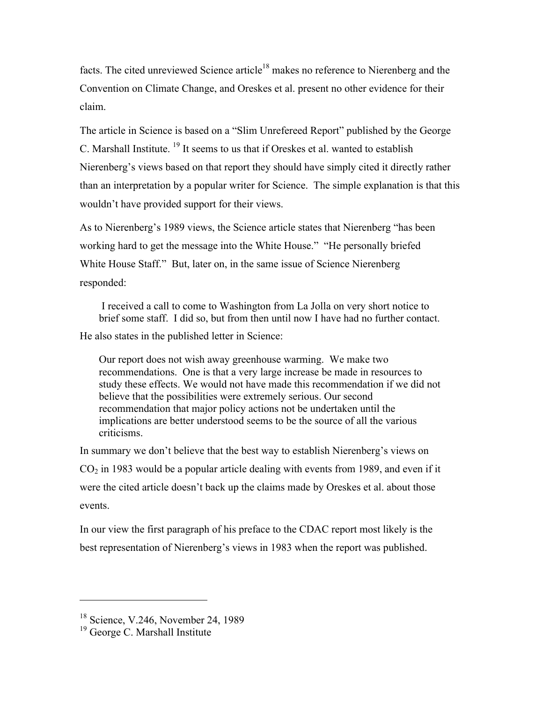facts. The cited unreviewed Science article<sup>18</sup> makes no reference to Nierenberg and the Convention on Climate Change, and Oreskes et al. present no other evidence for their claim.

The article in Science is based on a "Slim Unrefereed Report" published by the George C. Marshall Institute. 19 It seems to us that if Oreskes et al. wanted to establish Nierenberg's views based on that report they should have simply cited it directly rather than an interpretation by a popular writer for Science. The simple explanation is that this wouldn't have provided support for their views.

As to Nierenberg's 1989 views, the Science article states that Nierenberg "has been working hard to get the message into the White House." "He personally briefed White House Staff." But, later on, in the same issue of Science Nierenberg responded:

 I received a call to come to Washington from La Jolla on very short notice to brief some staff. I did so, but from then until now I have had no further contact.

He also states in the published letter in Science:

Our report does not wish away greenhouse warming. We make two recommendations. One is that a very large increase be made in resources to study these effects. We would not have made this recommendation if we did not believe that the possibilities were extremely serious. Our second recommendation that major policy actions not be undertaken until the implications are better understood seems to be the source of all the various criticisms.

In summary we don't believe that the best way to establish Nierenberg's views on  $CO<sub>2</sub>$  in 1983 would be a popular article dealing with events from 1989, and even if it were the cited article doesn't back up the claims made by Oreskes et al. about those events.

In our view the first paragraph of his preface to the CDAC report most likely is the best representation of Nierenberg's views in 1983 when the report was published.

<sup>&</sup>lt;sup>18</sup> Science, V.246, November 24, 1989

 $19$  George C. Marshall Institute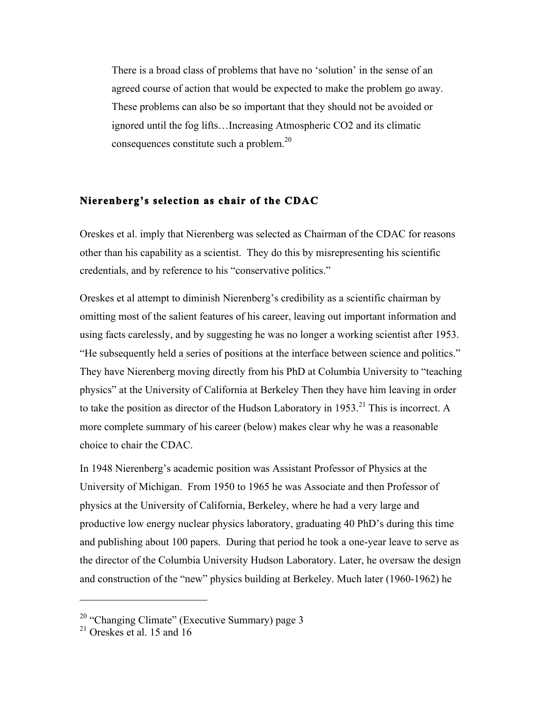There is a broad class of problems that have no 'solution' in the sense of an agreed course of action that would be expected to make the problem go away. These problems can also be so important that they should not be avoided or ignored until the fog lifts…Increasing Atmospheric CO2 and its climatic consequences constitute such a problem.20

#### **Nierenberg's selection as chair of the CDAC**

Oreskes et al. imply that Nierenberg was selected as Chairman of the CDAC for reasons other than his capability as a scientist. They do this by misrepresenting his scientific credentials, and by reference to his "conservative politics."

Oreskes et al attempt to diminish Nierenberg's credibility as a scientific chairman by omitting most of the salient features of his career, leaving out important information and using facts carelessly, and by suggesting he was no longer a working scientist after 1953. "He subsequently held a series of positions at the interface between science and politics." They have Nierenberg moving directly from his PhD at Columbia University to "teaching physics" at the University of California at Berkeley Then they have him leaving in order to take the position as director of the Hudson Laboratory in 1953.<sup>21</sup> This is incorrect. A more complete summary of his career (below) makes clear why he was a reasonable choice to chair the CDAC.

In 1948 Nierenberg's academic position was Assistant Professor of Physics at the University of Michigan. From 1950 to 1965 he was Associate and then Professor of physics at the University of California, Berkeley, where he had a very large and productive low energy nuclear physics laboratory, graduating 40 PhD's during this time and publishing about 100 papers. During that period he took a one-year leave to serve as the director of the Columbia University Hudson Laboratory. Later, he oversaw the design and construction of the "new" physics building at Berkeley. Much later (1960-1962) he

 $20$  "Changing Climate" (Executive Summary) page 3

 $21$  Oreskes et al. 15 and 16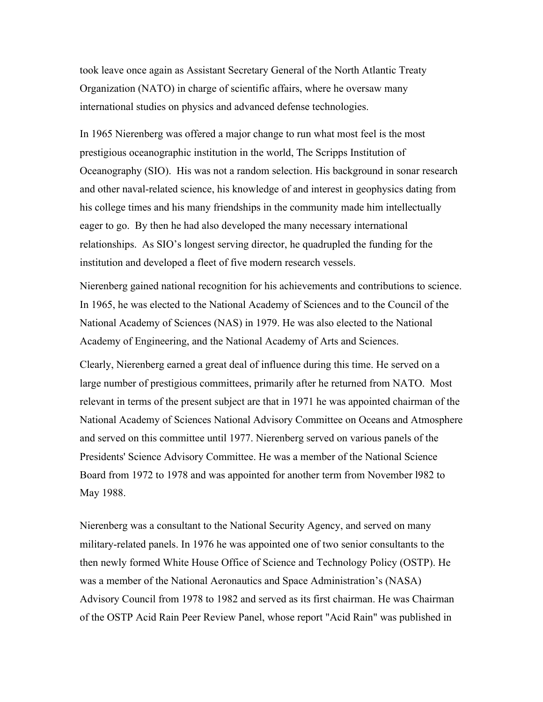took leave once again as Assistant Secretary General of the North Atlantic Treaty Organization (NATO) in charge of scientific affairs, where he oversaw many international studies on physics and advanced defense technologies.

In 1965 Nierenberg was offered a major change to run what most feel is the most prestigious oceanographic institution in the world, The Scripps Institution of Oceanography (SIO). His was not a random selection. His background in sonar research and other naval-related science, his knowledge of and interest in geophysics dating from his college times and his many friendships in the community made him intellectually eager to go. By then he had also developed the many necessary international relationships. As SIO's longest serving director, he quadrupled the funding for the institution and developed a fleet of five modern research vessels.

Nierenberg gained national recognition for his achievements and contributions to science. In 1965, he was elected to the National Academy of Sciences and to the Council of the National Academy of Sciences (NAS) in 1979. He was also elected to the National Academy of Engineering, and the National Academy of Arts and Sciences.

Clearly, Nierenberg earned a great deal of influence during this time. He served on a large number of prestigious committees, primarily after he returned from NATO. Most relevant in terms of the present subject are that in 1971 he was appointed chairman of the National Academy of Sciences National Advisory Committee on Oceans and Atmosphere and served on this committee until 1977. Nierenberg served on various panels of the Presidents' Science Advisory Committee. He was a member of the National Science Board from 1972 to 1978 and was appointed for another term from November l982 to May 1988.

Nierenberg was a consultant to the National Security Agency, and served on many military-related panels. In 1976 he was appointed one of two senior consultants to the then newly formed White House Office of Science and Technology Policy (OSTP). He was a member of the National Aeronautics and Space Administration's (NASA) Advisory Council from 1978 to 1982 and served as its first chairman. He was Chairman of the OSTP Acid Rain Peer Review Panel, whose report "Acid Rain" was published in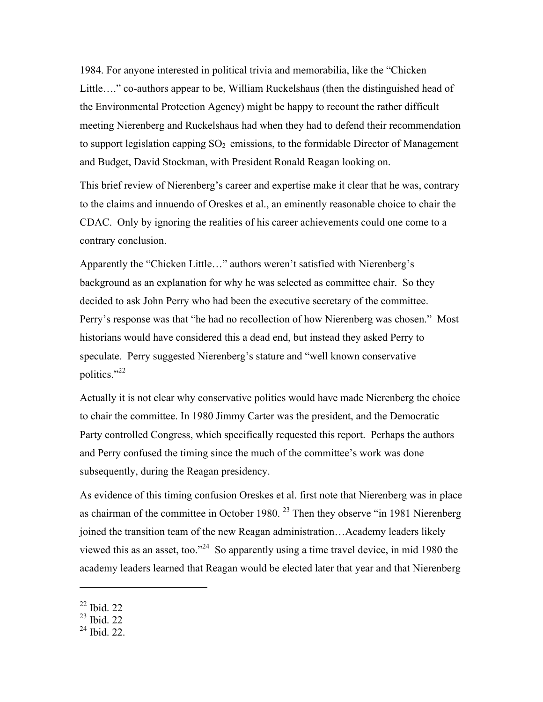1984. For anyone interested in political trivia and memorabilia, like the "Chicken Little…." co-authors appear to be, William Ruckelshaus (then the distinguished head of the Environmental Protection Agency) might be happy to recount the rather difficult meeting Nierenberg and Ruckelshaus had when they had to defend their recommendation to support legislation capping  $SO_2$  emissions, to the formidable Director of Management and Budget, David Stockman, with President Ronald Reagan looking on.

This brief review of Nierenberg's career and expertise make it clear that he was, contrary to the claims and innuendo of Oreskes et al., an eminently reasonable choice to chair the CDAC. Only by ignoring the realities of his career achievements could one come to a contrary conclusion.

Apparently the "Chicken Little…" authors weren't satisfied with Nierenberg's background as an explanation for why he was selected as committee chair. So they decided to ask John Perry who had been the executive secretary of the committee. Perry's response was that "he had no recollection of how Nierenberg was chosen." Most historians would have considered this a dead end, but instead they asked Perry to speculate. Perry suggested Nierenberg's stature and "well known conservative politics."<sup>22</sup>

Actually it is not clear why conservative politics would have made Nierenberg the choice to chair the committee. In 1980 Jimmy Carter was the president, and the Democratic Party controlled Congress, which specifically requested this report. Perhaps the authors and Perry confused the timing since the much of the committee's work was done subsequently, during the Reagan presidency.

As evidence of this timing confusion Oreskes et al. first note that Nierenberg was in place as chairman of the committee in October 1980.<sup>23</sup> Then they observe "in 1981 Nierenberg joined the transition team of the new Reagan administration…Academy leaders likely viewed this as an asset, too."24 So apparently using a time travel device, in mid 1980 the academy leaders learned that Reagan would be elected later that year and that Nierenberg

<sup>22</sup> Ibid. 22

<sup>23</sup> Ibid. 22

 $24$  Ibid. 22.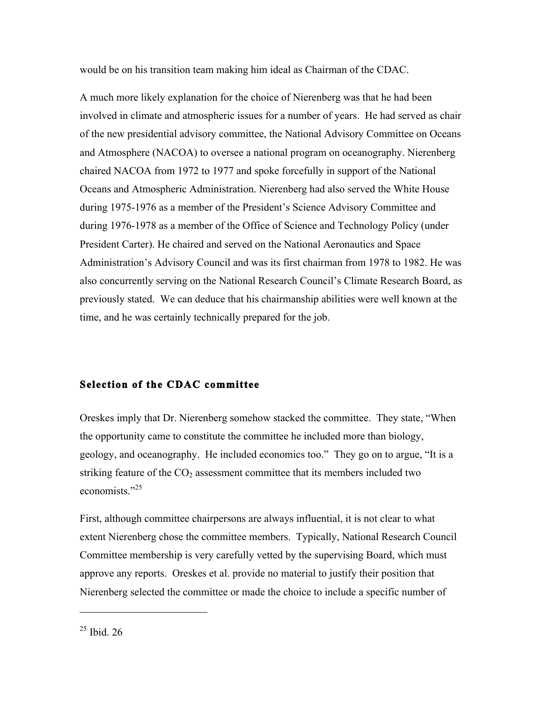would be on his transition team making him ideal as Chairman of the CDAC.

A much more likely explanation for the choice of Nierenberg was that he had been involved in climate and atmospheric issues for a number of years. He had served as chair of the new presidential advisory committee, the National Advisory Committee on Oceans and Atmosphere (NACOA) to oversee a national program on oceanography. Nierenberg chaired NACOA from 1972 to 1977 and spoke forcefully in support of the National Oceans and Atmospheric Administration. Nierenberg had also served the White House during 1975-1976 as a member of the President's Science Advisory Committee and during 1976-1978 as a member of the Office of Science and Technology Policy (under President Carter). He chaired and served on the National Aeronautics and Space Administration's Advisory Council and was its first chairman from 1978 to 1982. He was also concurrently serving on the National Research Council's Climate Research Board, as previously stated. We can deduce that his chairmanship abilities were well known at the time, and he was certainly technically prepared for the job.

# **Selection of the CDAC committee**

Oreskes imply that Dr. Nierenberg somehow stacked the committee. They state, "When the opportunity came to constitute the committee he included more than biology, geology, and oceanography. He included economics too." They go on to argue, "It is a striking feature of the  $CO<sub>2</sub>$  assessment committee that its members included two economists<sup>"25</sup>

First, although committee chairpersons are always influential, it is not clear to what extent Nierenberg chose the committee members. Typically, National Research Council Committee membership is very carefully vetted by the supervising Board, which must approve any reports. Oreskes et al. provide no material to justify their position that Nierenberg selected the committee or made the choice to include a specific number of

 $25$  Ibid. 26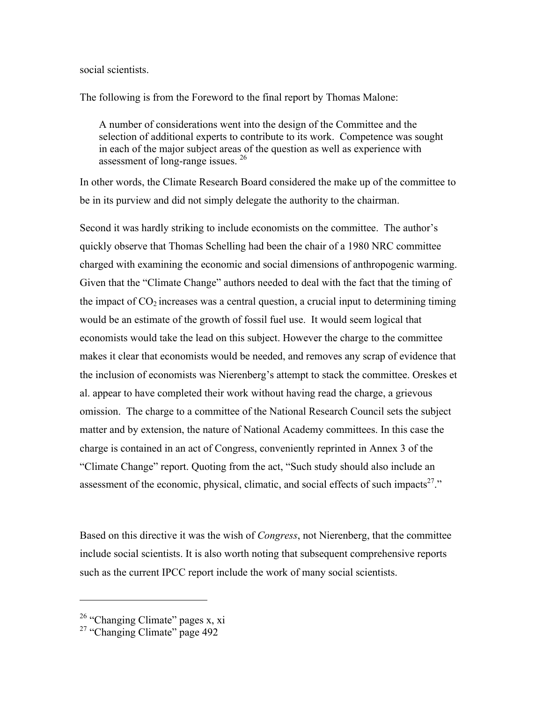#### social scientists.

The following is from the Foreword to the final report by Thomas Malone:

A number of considerations went into the design of the Committee and the selection of additional experts to contribute to its work. Competence was sought in each of the major subject areas of the question as well as experience with assessment of long-range issues. 26

In other words, the Climate Research Board considered the make up of the committee to be in its purview and did not simply delegate the authority to the chairman.

Second it was hardly striking to include economists on the committee. The author's quickly observe that Thomas Schelling had been the chair of a 1980 NRC committee charged with examining the economic and social dimensions of anthropogenic warming. Given that the "Climate Change" authors needed to deal with the fact that the timing of the impact of  $CO<sub>2</sub>$  increases was a central question, a crucial input to determining timing would be an estimate of the growth of fossil fuel use. It would seem logical that economists would take the lead on this subject. However the charge to the committee makes it clear that economists would be needed, and removes any scrap of evidence that the inclusion of economists was Nierenberg's attempt to stack the committee. Oreskes et al. appear to have completed their work without having read the charge, a grievous omission. The charge to a committee of the National Research Council sets the subject matter and by extension, the nature of National Academy committees. In this case the charge is contained in an act of Congress, conveniently reprinted in Annex 3 of the "Climate Change" report. Quoting from the act, "Such study should also include an assessment of the economic, physical, climatic, and social effects of such impacts<sup>27</sup>."

Based on this directive it was the wish of *Congress*, not Nierenberg, that the committee include social scientists. It is also worth noting that subsequent comprehensive reports such as the current IPCC report include the work of many social scientists.

<sup>&</sup>lt;sup>26</sup> "Changing Climate" pages x, xi

<sup>&</sup>lt;sup>27</sup> "Changing Climate" page 492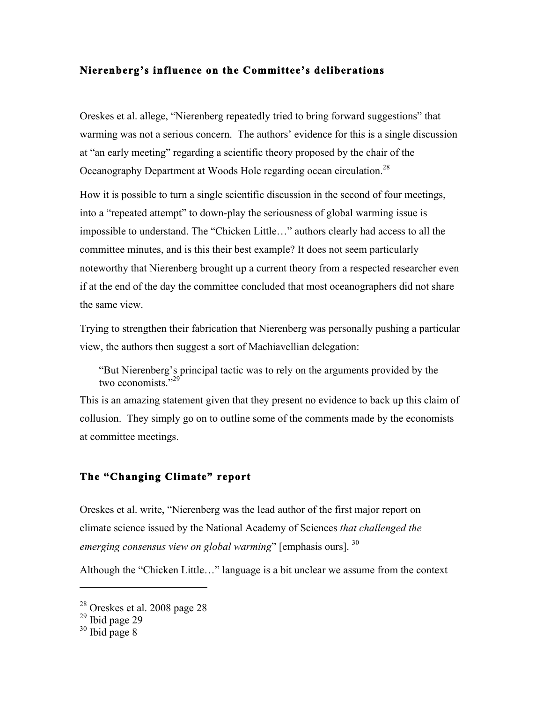## **Nierenberg's influence on the Committee's deliberations**

Oreskes et al. allege, "Nierenberg repeatedly tried to bring forward suggestions" that warming was not a serious concern. The authors' evidence for this is a single discussion at "an early meeting" regarding a scientific theory proposed by the chair of the Oceanography Department at Woods Hole regarding ocean circulation.<sup>28</sup>

How it is possible to turn a single scientific discussion in the second of four meetings, into a "repeated attempt" to down-play the seriousness of global warming issue is impossible to understand. The "Chicken Little…" authors clearly had access to all the committee minutes, and is this their best example? It does not seem particularly noteworthy that Nierenberg brought up a current theory from a respected researcher even if at the end of the day the committee concluded that most oceanographers did not share the same view.

Trying to strengthen their fabrication that Nierenberg was personally pushing a particular view, the authors then suggest a sort of Machiavellian delegation:

"But Nierenberg's principal tactic was to rely on the arguments provided by the two economists."<sup>29</sup>

This is an amazing statement given that they present no evidence to back up this claim of collusion. They simply go on to outline some of the comments made by the economists at committee meetings.

# **The "Changing Climate" report**

Oreskes et al. write, "Nierenberg was the lead author of the first major report on climate science issued by the National Academy of Sciences *that challenged the emerging consensus view on global warming*" [emphasis ours]. 30

Although the "Chicken Little…" language is a bit unclear we assume from the context

<sup>28</sup> Oreskes et al. 2008 page 28

 $29$  Ibid page 29

 $30$  Ibid page 8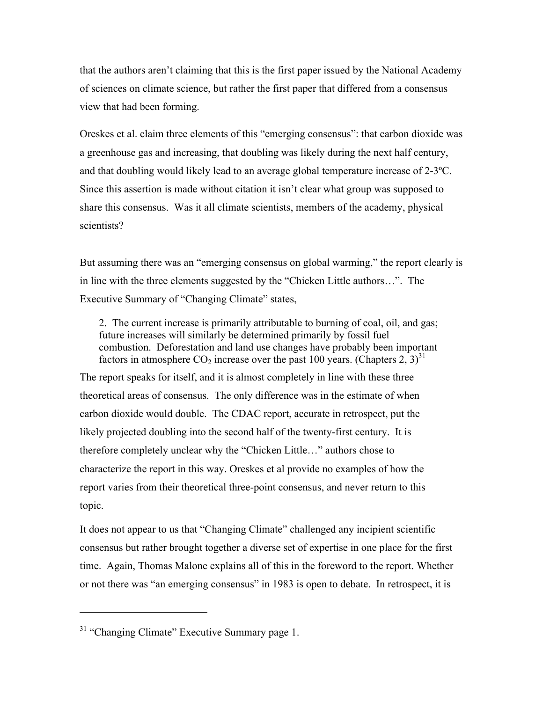that the authors aren't claiming that this is the first paper issued by the National Academy of sciences on climate science, but rather the first paper that differed from a consensus view that had been forming.

Oreskes et al. claim three elements of this "emerging consensus": that carbon dioxide was a greenhouse gas and increasing, that doubling was likely during the next half century, and that doubling would likely lead to an average global temperature increase of  $2-3^{\circ}C$ . Since this assertion is made without citation it isn't clear what group was supposed to share this consensus. Was it all climate scientists, members of the academy, physical scientists?

But assuming there was an "emerging consensus on global warming," the report clearly is in line with the three elements suggested by the "Chicken Little authors…". The Executive Summary of "Changing Climate" states,

2. The current increase is primarily attributable to burning of coal, oil, and gas; future increases will similarly be determined primarily by fossil fuel combustion. Deforestation and land use changes have probably been important factors in atmosphere  $CO_2$  increase over the past 100 years. (Chapters 2, 3)<sup>31</sup>

The report speaks for itself, and it is almost completely in line with these three theoretical areas of consensus. The only difference was in the estimate of when carbon dioxide would double. The CDAC report, accurate in retrospect, put the likely projected doubling into the second half of the twenty-first century. It is therefore completely unclear why the "Chicken Little…" authors chose to characterize the report in this way. Oreskes et al provide no examples of how the report varies from their theoretical three-point consensus, and never return to this topic.

It does not appear to us that "Changing Climate" challenged any incipient scientific consensus but rather brought together a diverse set of expertise in one place for the first time. Again, Thomas Malone explains all of this in the foreword to the report. Whether or not there was "an emerging consensus" in 1983 is open to debate. In retrospect, it is

<sup>&</sup>lt;sup>31</sup> "Changing Climate" Executive Summary page 1.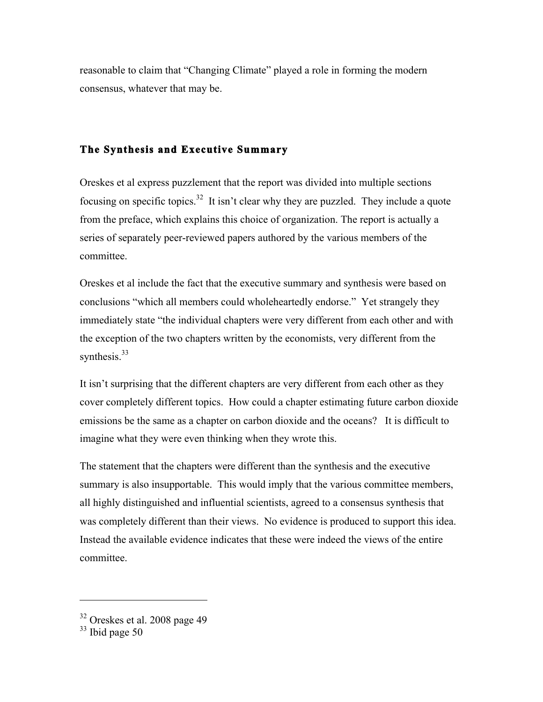reasonable to claim that "Changing Climate" played a role in forming the modern consensus, whatever that may be.

# **The Synthesis and Executive Summary**

Oreskes et al express puzzlement that the report was divided into multiple sections focusing on specific topics.32 It isn't clear why they are puzzled. They include a quote from the preface, which explains this choice of organization. The report is actually a series of separately peer-reviewed papers authored by the various members of the committee.

Oreskes et al include the fact that the executive summary and synthesis were based on conclusions "which all members could wholeheartedly endorse." Yet strangely they immediately state "the individual chapters were very different from each other and with the exception of the two chapters written by the economists, very different from the synthesis. $33$ 

It isn't surprising that the different chapters are very different from each other as they cover completely different topics. How could a chapter estimating future carbon dioxide emissions be the same as a chapter on carbon dioxide and the oceans? It is difficult to imagine what they were even thinking when they wrote this.

The statement that the chapters were different than the synthesis and the executive summary is also insupportable. This would imply that the various committee members, all highly distinguished and influential scientists, agreed to a consensus synthesis that was completely different than their views. No evidence is produced to support this idea. Instead the available evidence indicates that these were indeed the views of the entire committee.

<sup>32</sup> Oreskes et al. 2008 page 49

 $33$  Ibid page 50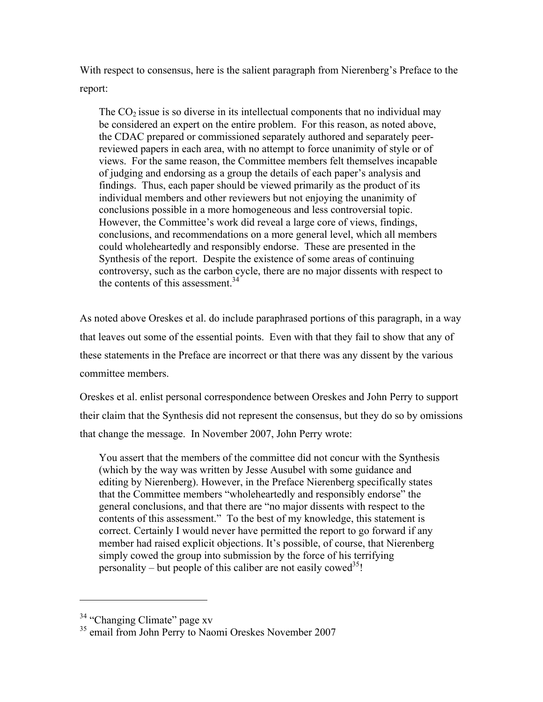With respect to consensus, here is the salient paragraph from Nierenberg's Preface to the report:

The  $CO<sub>2</sub>$  issue is so diverse in its intellectual components that no individual may be considered an expert on the entire problem. For this reason, as noted above, the CDAC prepared or commissioned separately authored and separately peerreviewed papers in each area, with no attempt to force unanimity of style or of views. For the same reason, the Committee members felt themselves incapable of judging and endorsing as a group the details of each paper's analysis and findings. Thus, each paper should be viewed primarily as the product of its individual members and other reviewers but not enjoying the unanimity of conclusions possible in a more homogeneous and less controversial topic. However, the Committee's work did reveal a large core of views, findings, conclusions, and recommendations on a more general level, which all members could wholeheartedly and responsibly endorse. These are presented in the Synthesis of the report. Despite the existence of some areas of continuing controversy, such as the carbon cycle, there are no major dissents with respect to the contents of this assessment.<sup>34</sup>

As noted above Oreskes et al. do include paraphrased portions of this paragraph, in a way that leaves out some of the essential points. Even with that they fail to show that any of these statements in the Preface are incorrect or that there was any dissent by the various committee members.

Oreskes et al. enlist personal correspondence between Oreskes and John Perry to support their claim that the Synthesis did not represent the consensus, but they do so by omissions that change the message. In November 2007, John Perry wrote:

You assert that the members of the committee did not concur with the Synthesis (which by the way was written by Jesse Ausubel with some guidance and editing by Nierenberg). However, in the Preface Nierenberg specifically states that the Committee members "wholeheartedly and responsibly endorse" the general conclusions, and that there are "no major dissents with respect to the contents of this assessment." To the best of my knowledge, this statement is correct. Certainly I would never have permitted the report to go forward if any member had raised explicit objections. It's possible, of course, that Nierenberg simply cowed the group into submission by the force of his terrifying personality – but people of this caliber are not easily cowed<sup>35</sup>!

<sup>&</sup>lt;sup>34</sup> "Changing Climate" page xy

<sup>&</sup>lt;sup>35</sup> email from John Perry to Naomi Oreskes November 2007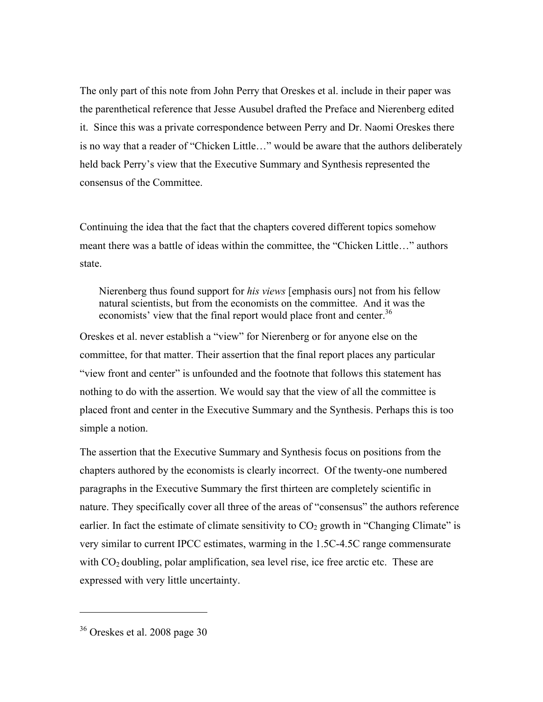The only part of this note from John Perry that Oreskes et al. include in their paper was the parenthetical reference that Jesse Ausubel drafted the Preface and Nierenberg edited it. Since this was a private correspondence between Perry and Dr. Naomi Oreskes there is no way that a reader of "Chicken Little…" would be aware that the authors deliberately held back Perry's view that the Executive Summary and Synthesis represented the consensus of the Committee.

Continuing the idea that the fact that the chapters covered different topics somehow meant there was a battle of ideas within the committee, the "Chicken Little…" authors state.

Nierenberg thus found support for *his views* [emphasis ours] not from his fellow natural scientists, but from the economists on the committee. And it was the economists' view that the final report would place front and center.<sup>36</sup>

Oreskes et al. never establish a "view" for Nierenberg or for anyone else on the committee, for that matter. Their assertion that the final report places any particular "view front and center" is unfounded and the footnote that follows this statement has nothing to do with the assertion. We would say that the view of all the committee is placed front and center in the Executive Summary and the Synthesis. Perhaps this is too simple a notion.

The assertion that the Executive Summary and Synthesis focus on positions from the chapters authored by the economists is clearly incorrect. Of the twenty-one numbered paragraphs in the Executive Summary the first thirteen are completely scientific in nature. They specifically cover all three of the areas of "consensus" the authors reference earlier. In fact the estimate of climate sensitivity to  $CO<sub>2</sub>$  growth in "Changing Climate" is very similar to current IPCC estimates, warming in the 1.5C-4.5C range commensurate with  $CO<sub>2</sub>$  doubling, polar amplification, sea level rise, ice free arctic etc. These are expressed with very little uncertainty.

<sup>36</sup> Oreskes et al. 2008 page 30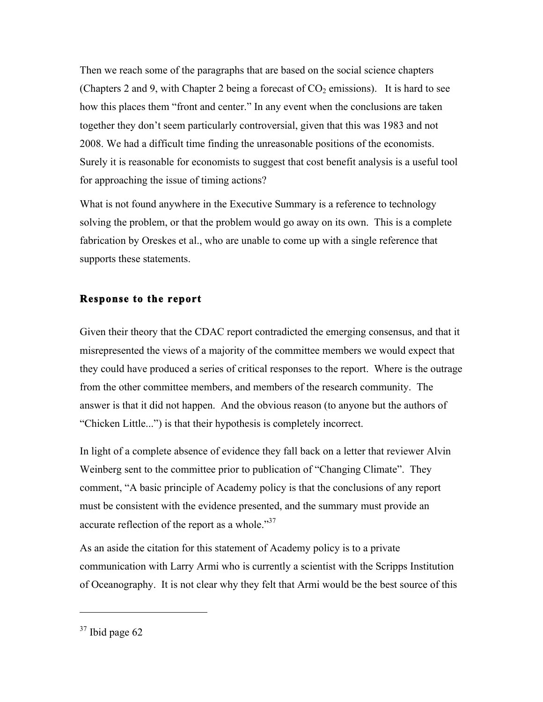Then we reach some of the paragraphs that are based on the social science chapters (Chapters 2 and 9, with Chapter 2 being a forecast of  $CO<sub>2</sub>$  emissions). It is hard to see how this places them "front and center." In any event when the conclusions are taken together they don't seem particularly controversial, given that this was 1983 and not 2008. We had a difficult time finding the unreasonable positions of the economists. Surely it is reasonable for economists to suggest that cost benefit analysis is a useful tool for approaching the issue of timing actions?

What is not found anywhere in the Executive Summary is a reference to technology solving the problem, or that the problem would go away on its own. This is a complete fabrication by Oreskes et al., who are unable to come up with a single reference that supports these statements.

## **Response to the report**

Given their theory that the CDAC report contradicted the emerging consensus, and that it misrepresented the views of a majority of the committee members we would expect that they could have produced a series of critical responses to the report. Where is the outrage from the other committee members, and members of the research community. The answer is that it did not happen. And the obvious reason (to anyone but the authors of "Chicken Little...") is that their hypothesis is completely incorrect.

In light of a complete absence of evidence they fall back on a letter that reviewer Alvin Weinberg sent to the committee prior to publication of "Changing Climate". They comment, "A basic principle of Academy policy is that the conclusions of any report must be consistent with the evidence presented, and the summary must provide an accurate reflection of the report as a whole."<sup>37</sup>

As an aside the citation for this statement of Academy policy is to a private communication with Larry Armi who is currently a scientist with the Scripps Institution of Oceanography. It is not clear why they felt that Armi would be the best source of this

 $37$  Ibid page 62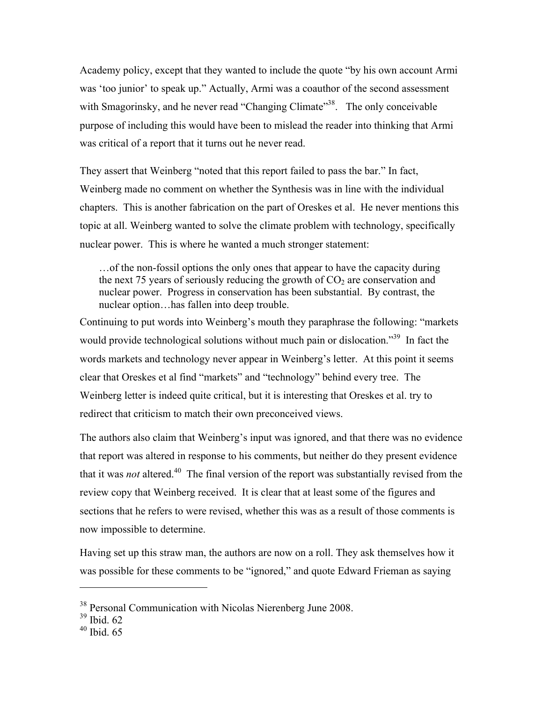Academy policy, except that they wanted to include the quote "by his own account Armi was 'too junior' to speak up." Actually, Armi was a coauthor of the second assessment with Smagorinsky, and he never read "Changing Climate"<sup>38</sup>. The only conceivable purpose of including this would have been to mislead the reader into thinking that Armi was critical of a report that it turns out he never read.

They assert that Weinberg "noted that this report failed to pass the bar." In fact, Weinberg made no comment on whether the Synthesis was in line with the individual chapters. This is another fabrication on the part of Oreskes et al. He never mentions this topic at all. Weinberg wanted to solve the climate problem with technology, specifically nuclear power. This is where he wanted a much stronger statement:

…of the non-fossil options the only ones that appear to have the capacity during the next 75 years of seriously reducing the growth of  $CO<sub>2</sub>$  are conservation and nuclear power. Progress in conservation has been substantial. By contrast, the nuclear option…has fallen into deep trouble.

Continuing to put words into Weinberg's mouth they paraphrase the following: "markets would provide technological solutions without much pain or dislocation."<sup>39</sup> In fact the words markets and technology never appear in Weinberg's letter. At this point it seems clear that Oreskes et al find "markets" and "technology" behind every tree. The Weinberg letter is indeed quite critical, but it is interesting that Oreskes et al. try to redirect that criticism to match their own preconceived views.

The authors also claim that Weinberg's input was ignored, and that there was no evidence that report was altered in response to his comments, but neither do they present evidence that it was *not* altered.<sup>40</sup> The final version of the report was substantially revised from the review copy that Weinberg received. It is clear that at least some of the figures and sections that he refers to were revised, whether this was as a result of those comments is now impossible to determine.

Having set up this straw man, the authors are now on a roll. They ask themselves how it was possible for these comments to be "ignored," and quote Edward Frieman as saying

<sup>38</sup> Personal Communication with Nicolas Nierenberg June 2008.

 $39$  Ibid. 62

 $40$  Ibid. 65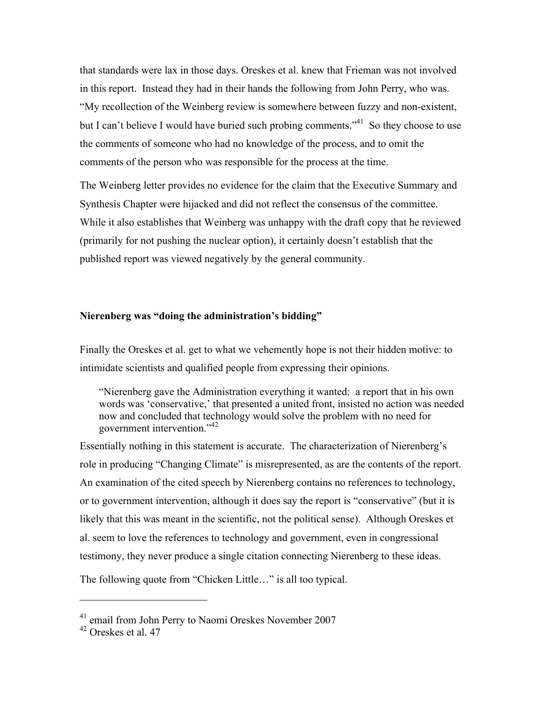that standards were lax in those days. Oreskes et al. knew that Frieman was not involved in this report. Instead they had in their hands the following from John Perry, who was. "My recollection of the Weinberg review is somewhere between fuzzy and non-existent, but I can't believe I would have buried such probing comments.<sup> $34$ </sup> So they choose to use the comments of someone who had no knowledge of the process, and to omit the comments of the person who was responsible for the process at the time.

The Weinberg letter provides no evidence for the claim that the Executive Summary and Synthesis Chapter were hijacked and did not reflect the consensus of the committee. While it also establishes that Weinberg was unhappy with the draft copy that he reviewed (primarily for not pushing the nuclear option), it certainly doesn't establish that the published report was viewed negatively by the general community.

#### **Nierenberg was "doing the administration's bidding"**

Finally the Oreskes et al. get to what we vehemently hope is not their hidden motive: to intimidate scientists and qualified people from expressing their opinions.

"Nierenberg gave the Administration everything it wanted: a report that in his own words was 'conservative,' that presented a united front, insisted no action was needed now and concluded that technology would solve the problem with no need for government intervention."<sup>42</sup>

Essentially nothing in this statement is accurate. The characterization of Nierenberg's role in producing "Changing Climate" is misrepresented, as are the contents of the report. An examination of the cited speech by Nierenberg contains no references to technology, or to government intervention, although it does say the report is "conservative" (but it is likely that this was meant in the scientific, not the political sense). Although Oreskes et al. seem to love the references to technology and government, even in congressional testimony, they never produce a single citation connecting Nierenberg to these ideas.

The following quote from "Chicken Little…" is all too typical.

 $41$  email from John Perry to Naomi Oreskes November 2007

 $42$  Oreskes et al. 47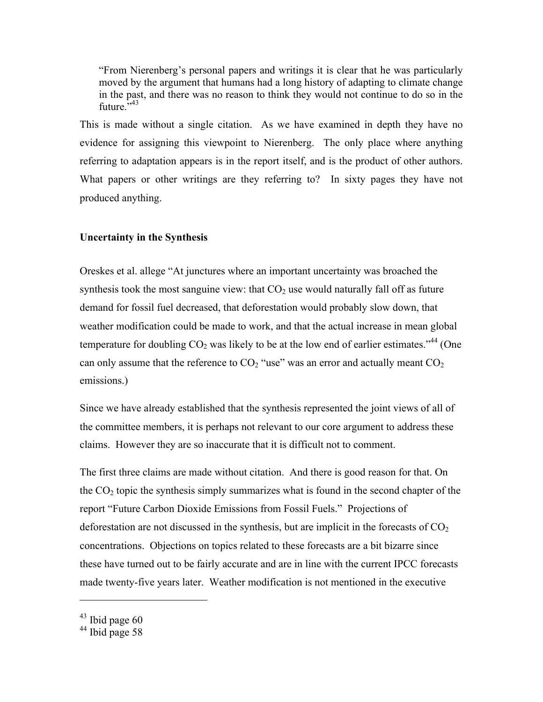"From Nierenberg's personal papers and writings it is clear that he was particularly moved by the argument that humans had a long history of adapting to climate change in the past, and there was no reason to think they would not continue to do so in the future.<sup>5,43</sup>

This is made without a single citation. As we have examined in depth they have no evidence for assigning this viewpoint to Nierenberg. The only place where anything referring to adaptation appears is in the report itself, and is the product of other authors. What papers or other writings are they referring to? In sixty pages they have not produced anything.

#### **Uncertainty in the Synthesis**

Oreskes et al. allege "At junctures where an important uncertainty was broached the synthesis took the most sanguine view: that  $CO<sub>2</sub>$  use would naturally fall off as future demand for fossil fuel decreased, that deforestation would probably slow down, that weather modification could be made to work, and that the actual increase in mean global temperature for doubling  $CO_2$  was likely to be at the low end of earlier estimates.<sup> $34$ </sup> (One can only assume that the reference to  $CO<sub>2</sub>$  "use" was an error and actually meant  $CO<sub>2</sub>$ emissions.)

Since we have already established that the synthesis represented the joint views of all of the committee members, it is perhaps not relevant to our core argument to address these claims. However they are so inaccurate that it is difficult not to comment.

The first three claims are made without citation. And there is good reason for that. On the  $CO<sub>2</sub>$  topic the synthesis simply summarizes what is found in the second chapter of the report "Future Carbon Dioxide Emissions from Fossil Fuels." Projections of deforestation are not discussed in the synthesis, but are implicit in the forecasts of  $CO<sub>2</sub>$ concentrations. Objections on topics related to these forecasts are a bit bizarre since these have turned out to be fairly accurate and are in line with the current IPCC forecasts made twenty-five years later. Weather modification is not mentioned in the executive

 $43$  Ibid page 60

 $44$  Ibid page 58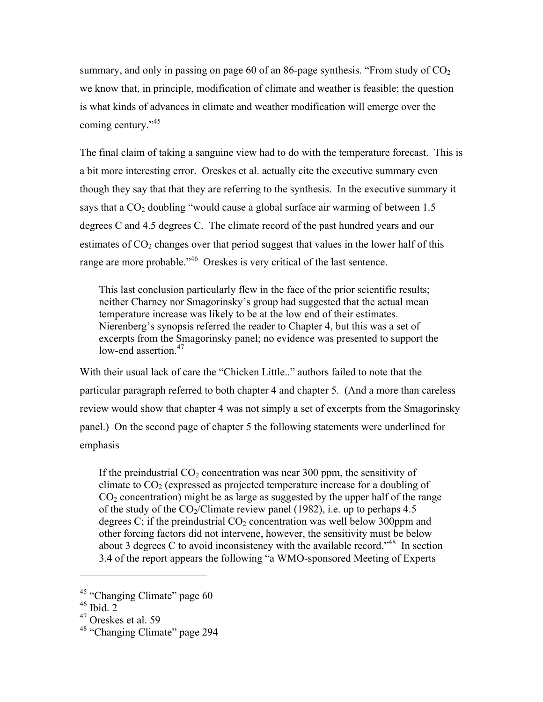summary, and only in passing on page 60 of an 86-page synthesis. "From study of  $CO<sub>2</sub>$ we know that, in principle, modification of climate and weather is feasible; the question is what kinds of advances in climate and weather modification will emerge over the coming century."<sup>45</sup>

The final claim of taking a sanguine view had to do with the temperature forecast. This is a bit more interesting error. Oreskes et al. actually cite the executive summary even though they say that that they are referring to the synthesis. In the executive summary it says that a  $CO<sub>2</sub>$  doubling "would cause a global surface air warming of between 1.5 degrees C and 4.5 degrees C. The climate record of the past hundred years and our estimates of  $CO<sub>2</sub>$  changes over that period suggest that values in the lower half of this range are more probable."<sup>46</sup> Oreskes is very critical of the last sentence.

This last conclusion particularly flew in the face of the prior scientific results; neither Charney nor Smagorinsky's group had suggested that the actual mean temperature increase was likely to be at the low end of their estimates. Nierenberg's synopsis referred the reader to Chapter 4, but this was a set of excerpts from the Smagorinsky panel; no evidence was presented to support the low-end assertion. $47$ 

With their usual lack of care the "Chicken Little.." authors failed to note that the particular paragraph referred to both chapter 4 and chapter 5. (And a more than careless review would show that chapter 4 was not simply a set of excerpts from the Smagorinsky panel.) On the second page of chapter 5 the following statements were underlined for emphasis

If the preindustrial  $CO<sub>2</sub>$  concentration was near 300 ppm, the sensitivity of climate to  $CO<sub>2</sub>$  (expressed as projected temperature increase for a doubling of  $CO<sub>2</sub>$  concentration) might be as large as suggested by the upper half of the range of the study of the  $CO_2/C$  limate review panel (1982), i.e. up to perhaps 4.5 degrees C; if the preindustrial  $CO<sub>2</sub>$  concentration was well below 300ppm and other forcing factors did not intervene, however, the sensitivity must be below about 3 degrees C to avoid inconsistency with the available record."<sup>48</sup> In section 3.4 of the report appears the following "a WMO-sponsored Meeting of Experts

<sup>&</sup>lt;sup>45</sup> "Changing Climate" page 60

<sup>46</sup> Ibid. 2

 $47$  Oreskes et al. 59

<sup>48 &</sup>quot;Changing Climate" page 294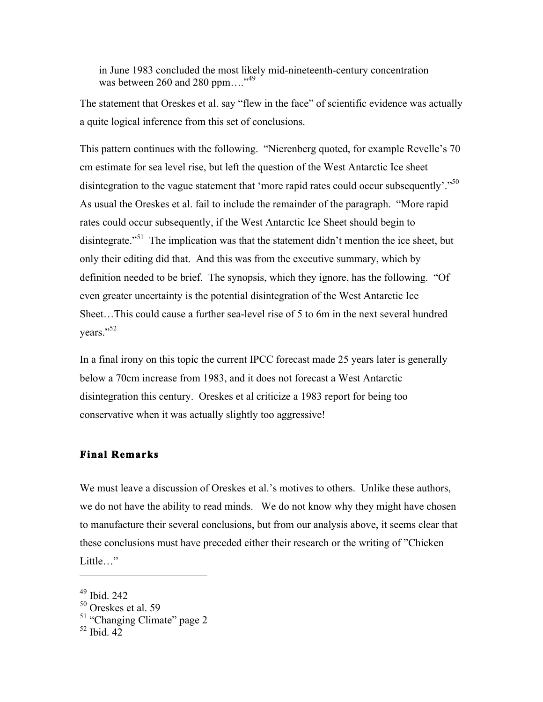in June 1983 concluded the most likely mid-nineteenth-century concentration was between 260 and 280 ppm...."<sup>49</sup>

The statement that Oreskes et al. say "flew in the face" of scientific evidence was actually a quite logical inference from this set of conclusions.

This pattern continues with the following. "Nierenberg quoted, for example Revelle's 70 cm estimate for sea level rise, but left the question of the West Antarctic Ice sheet disintegration to the vague statement that 'more rapid rates could occur subsequently'."<sup>50</sup> As usual the Oreskes et al. fail to include the remainder of the paragraph. "More rapid rates could occur subsequently, if the West Antarctic Ice Sheet should begin to disintegrate."<sup>51</sup> The implication was that the statement didn't mention the ice sheet, but only their editing did that. And this was from the executive summary, which by definition needed to be brief. The synopsis, which they ignore, has the following. "Of even greater uncertainty is the potential disintegration of the West Antarctic Ice Sheet…This could cause a further sea-level rise of 5 to 6m in the next several hundred years."<sup>52</sup>

In a final irony on this topic the current IPCC forecast made 25 years later is generally below a 70cm increase from 1983, and it does not forecast a West Antarctic disintegration this century. Oreskes et al criticize a 1983 report for being too conservative when it was actually slightly too aggressive!

#### **Final Remarks**

We must leave a discussion of Oreskes et al.'s motives to others. Unlike these authors, we do not have the ability to read minds. We do not know why they might have chosen to manufacture their several conclusions, but from our analysis above, it seems clear that these conclusions must have preceded either their research or the writing of "Chicken Little…"

<sup>49</sup> Ibid. 242

<sup>50</sup> Oreskes et al. 59

<sup>&</sup>lt;sup>51</sup> "Changing Climate" page 2

 $52$  Ibid. 42